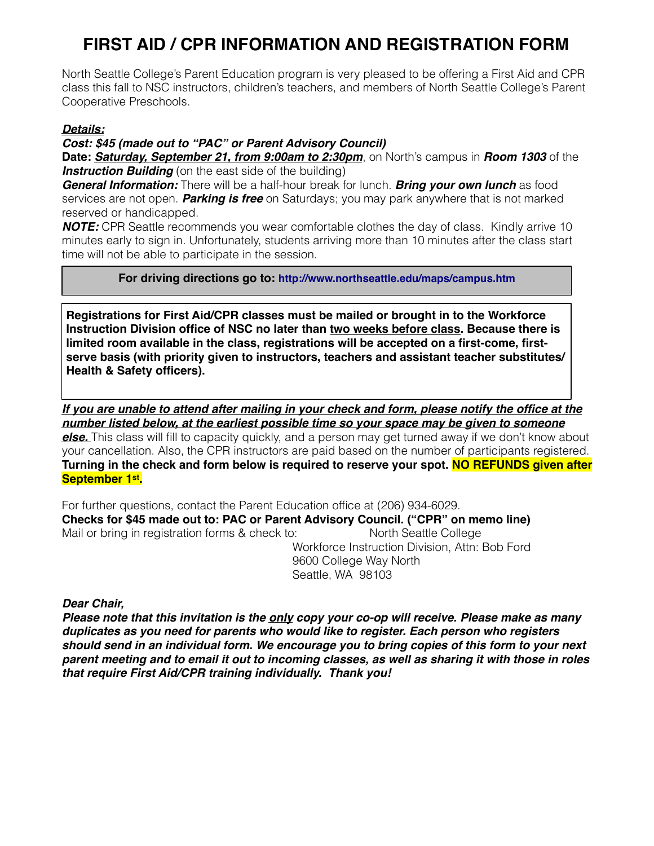## **FIRST AID / CPR INFORMATION AND REGISTRATION FORM**

North Seattle College's Parent Education program is very pleased to be offering a First Aid and CPR class this fall to NSC instructors, children's teachers, and members of North Seattle College's Parent Cooperative Preschools.

## *Details:*

Γ

## *Cost: \$45 (made out to "PAC" or Parent Advisory Council)*

**Date:** *Saturday, September 21, from 9:00am to 2:30pm*, on North's campus in *Room 1303* of the **Instruction Building** (on the east side of the building)

*General Information:* There will be a half-hour break for lunch. *Bring your own lunch* as food services are not open. *Parking is free* on Saturdays; you may park anywhere that is not marked reserved or handicapped.

*NOTE:* CPR Seattle recommends you wear comfortable clothes the day of class. Kindly arrive 10 minutes early to sign in. Unfortunately, students arriving more than 10 minutes after the class start time will not be able to participate in the session.

**For driving directions go to: http://www.northseattle.edu/maps/campus.htm**

**Registrations for First Aid/CPR classes must be mailed or brought in to the Workforce Instruction Division office of NSC no later than two weeks before class. Because there is limited room available in the class, registrations will be accepted on a first-come, firstserve basis (with priority given to instructors, teachers and assistant teacher substitutes/ Health & Safety officers).**

*If you are unable to attend after mailing in your check and form, please notify the office at the number listed below, at the earliest possible time so your space may be given to someone* 

*else.* This class will fill to capacity quickly, and a person may get turned away if we don't know about your cancellation. Also, the CPR instructors are paid based on the number of participants registered. **Turning in the check and form below is required to reserve your spot. NO REFUNDS given after September 1st.**

For further questions, contact the Parent Education office at (206) 934-6029. **Checks for \$45 made out to: PAC or Parent Advisory Council. ("CPR" on memo line)** Mail or bring in registration forms & check to: North Seattle College Workforce Instruction Division, Attn: Bob Ford 9600 College Way North

Seattle, WA 98103

*Dear Chair,*

*Please note that this invitation is the only copy your co-op will receive. Please make as many duplicates as you need for parents who would like to register. Each person who registers should send in an individual form. We encourage you to bring copies of this form to your next parent meeting and to email it out to incoming classes, as well as sharing it with those in roles that require First Aid/CPR training individually. Thank you!*